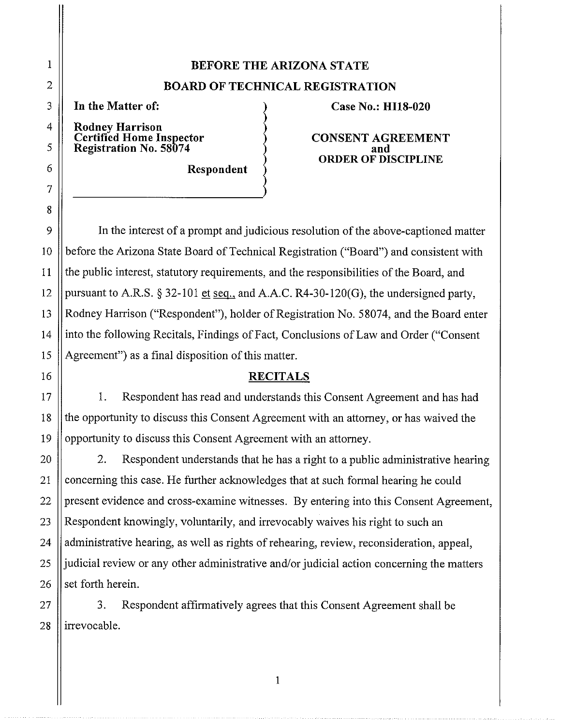# **BEFORE THE ARIZONA STATE**

## **BOARD OF TECHNICAL REGISTRATION**

**Rodney Harrison**  Registration No. 58074 **by September 2018** and

**Respondent** 

### **In the Matter of:** (a) Case No.: HI18-020

Certified Home Inspector  $\qquad \qquad$  CONSENT AGREEMENT **ORDER OF DISCIPLINE** 

In the interest of a prompt and judicious resolution of the above-captioned matter before the Arizona State Board of Technical Registration ("Board") and consistent with the public interest, statutory requirements, and the responsibilities of the Board, and pursuant to A.R.S.  $\S 32-101$  et seq., and A.A.C. R4-30-120(G), the undersigned party, Rodney Harrison ("Respondent"), holder of Registration No. 58074, and the Board enter into the following Recitals, Findings of Fact, Conclusions of Law and Order ("Consent Agreement") as a final disposition of this matter.

### **RECITALS**

1. Respondent has read and understands this Consent Agreement and has had the opportunity to discuss this Consent Agreement with an attorney, or has waived the opportunity to discuss this Consent Agreement with an attorney.

2. Respondent understands that he has a right to a public administrative hearing concerning this case. He further acknowledges that at such fonnal hearing he could present evidence and cross-examine witnesses. By entering into this Consent Agreement, Respondent knowingly, voluntarily, and irrevocably waives his right to such an administrative hearing, as well as rights of rehearing, review, reconsideration, appeal, judicial review or any other administrative and/or judicial action concerning the matters set forth herein.

3. Respondent affirmatively agrees that this Consent Agreement shall be irrevocable.

I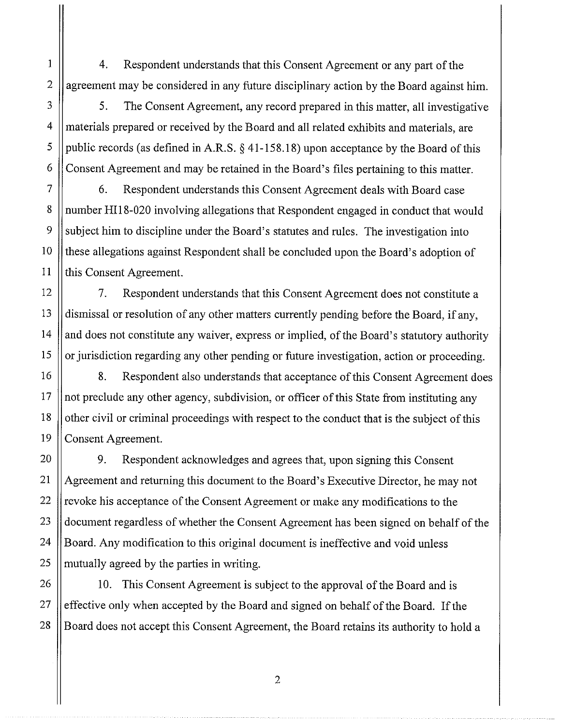I 4. Respondent understands that this Consent Agreement or any part of the agreement may be considered in any future disciplinary action by the Board against him.

2

3

4

5

6

7

8

9

10

11

12

13

14

15

16

17

18

19

20

21

22

23

24

25

5. The Consent Agreement, any record prepared in this matter, all investigative materials prepared or received by the Board and all related exhibits and materials, are public records (as defined in A.R.S. § [41-158.18](https://41-158.18)) upon acceptance by the Board of this Consent Agreement and may be retained in the Board's files pertaining to this matter.

6. Respondent understands this Consent Agreement deals with Board case number Hil 8-020 involving allegations that Respondent engaged in conduct that would subject him to discipline under the Board's statutes and rules. The investigation into these allegations against Respondent shall be concluded upon the Board's adoption of this Consent Agreement.

7. Respondent understands that this Consent Agreement does not constitute a dismissal or resolution of any other matters currently pending before the Board, if any, and does not constitute any waiver, express or implied, of the Board's statutory authority or jurisdiction regarding any other pending or future investigation, action or proceeding.

8. Respondent also understands that acceptance of this Consent Agreement does not preclude any other agency, subdivision, or officer of this State from instituting any other civil or criminal proceedings with respect to the conduct that is the subject of this Consent Agreement.

9. Respondent acknowledges and agrees that, upon signing this Consent Agreement and returning this document to the Board's Executive Director, he may not revoke his acceptance of the Consent Agreement or make any modifications to the document regardless of whether the Consent Agreement has been signed on behalf of the Board. Any modification to this original document is ineffective and void unless mutually agreed by the parties in writing.

26 27 28 10. This Consent Agreement is subject to the approval of the Board and is effective only when accepted by the Board and signed on behalf of the Board. If the Board does not accept this Consent Agreement, the Board retains its authority to hold a

2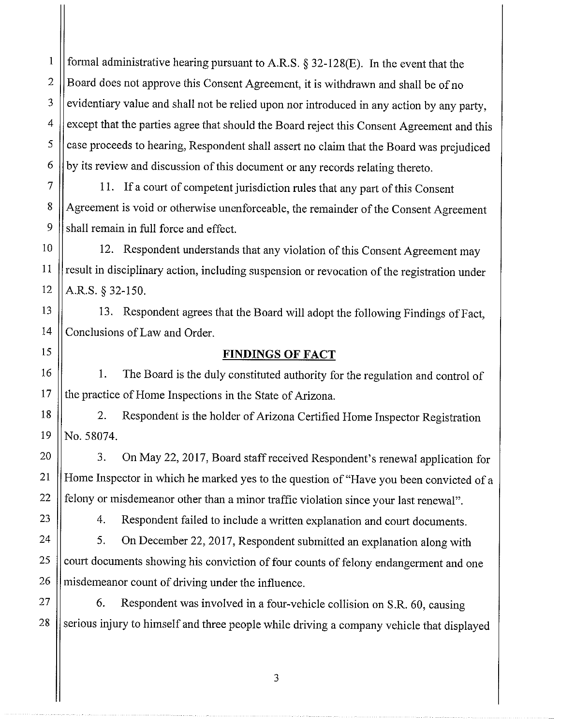2 fonnal administrative hearing pursuant to **A.R.S.** § 32-128(E). In the event that the Board does not approve this Consent Agreement, it is withdrawn and shall be of no evidentiary value and shall not be relied upon nor introduced in any action by any party, except that the parties agree that should the Board reject this Consent Agreement and this case proceeds to hearing, Respondent shall assert no claim that the Board was prejudiced by its review and discussion of this document or any records relating thereto.

7 11. If a court of competent jurisdiction rules that any part of this Consent Agreement is void or otherwise unenforceable, the remainder of the Consent Agreement shall remain in full force and effect.

12. Respondent understands that any violation of this Consent Agreement may result in disciplinary action, including suspension or revocation of the registration under A.R.S. § 32-150.

13. Respondent agrees that the Board will adopt the following Findings of Pact, Conclusions of Law and Order.

#### **FINDINGS OF FACT**

I. The Board is the duly constituted authority for the regulation and control of the practice of Home Inspections in the State of Arizona.

2. Respondent is the holder of Arizona Certified Home Inspector Registration No. 58074.

3. On May 22, 2017, Board staff received Respondent's renewal application for Home Inspector in which he marked yes to the question of "Have you been convicted of a felony or misdemeanor other than a minor traffic violation since your last renewal".

1

3

4

5

6

8

9

10

11

12

13

14

15

16

17

18

19

20

21

22

23

27

28

4. Respondent failed to include a written explanation and court documents.

24 25 26 5. On December 22, 2017, Respondent submitted an explanation along with court documents showing his conviction of four counts of felony endangerment and one misdemeanor count of driving under the influence.

6. Respondent was involved in a four-vehicle collision on S.R. 60, causing serious injury to himself and three people while driving a company vehicle that displayed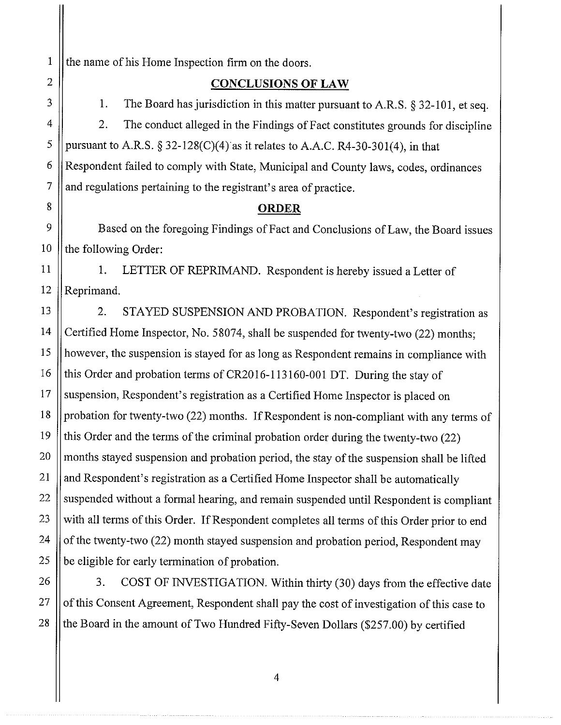the name of his Home Inspection firm on the doors.

## **CONCLUSIONS OF LAW**

1. The Board has jurisdiction in this matter pursuant to A.R.S. § 32-101, et seq.

2. The conduct alleged in the Findings of Fact constitutes grounds for discipline pursuant to A.R.S.  $\S 32-128(C)(4)$  as it relates to A.A.C. R4-30-301(4), in that Respondent failed to comply with State, Municipal and County laws, codes, ordinances and regulations pertaining to the registrant's area of practice.

## **ORDER**

Based on the foregoing Findings of Fact and Conclusions of Law, the Board issues the following Order:

1. LETTER OF REPRIMAND. Respondent is hereby issued a Letter of Reprimand.

2. STAYED SUSPENSION AND PROBATION. Respondent's registration as Certified Home Inspector, No. 58074, shall be suspended for twenty-two (22) months; however, the suspension is stayed for as long as Respondent remains in compliance with this Order and probation terms of CR2016-113160-001 DT. During the stay of suspension, Respondent's registration as a Certified Home Inspector is placed on probation for twenty-two (22) months. If Respondent is non-compliant with any terms of this Order and the terms of the criminal probation order during the twenty-two (22) months stayed suspension and probation period, the stay of the suspension shall be lifted and Respondent's registration as a Certified Home Inspector shall be automatically suspended without a formal hearing, and remain suspended until Respondent is compliant with all terms of this Order. If Respondent completes all terms of this Order prior to end of the twenty-two (22) month stayed suspension and probation period, Respondent may be eligible for early termination of probation.

26 28 3. COST OF INVESTIGATION. Within thirty (30) days from the effective date of this Consent Agreement, Respondent shall pay the cost of investigation of this case to the Board in the amount of Two Hundred Fifty-Seven Dollars (\$257.00) by certified

1

2

3

27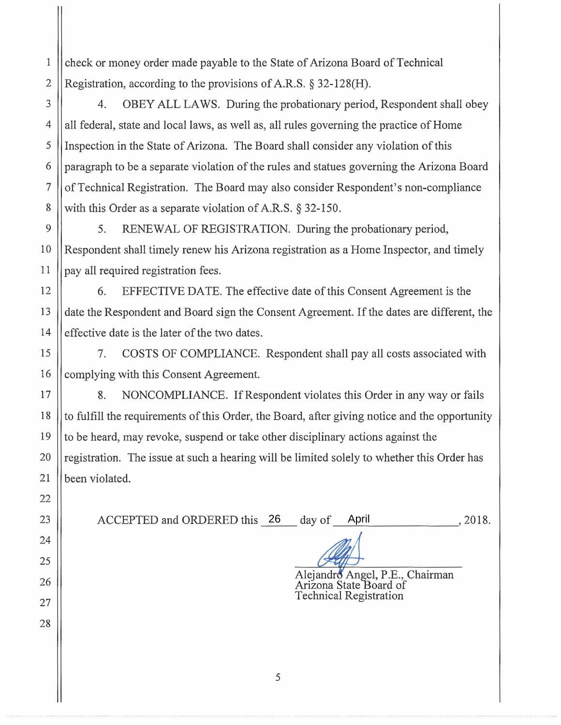check or money order made payable to the State of Arizona Board of Technical Registration, according to the provisions of A.R.S. § 32-128(H).

4. OBEY ALL LAWS. During the probationary period, Respondent shall obey all federal, state and local laws, as well as, all rules governing the practice of Home Inspection in the State of Arizona. The Board shall consider any violation of this paragraph to be a separate violation of the rules and statues governing the Arizona Board of Technical Registration. The Board may also consider Respondent's non-compliance with this Order as a separate violation of A.R.S. § 32-150.

5. RENEWAL OF REGISTRATION. During the probationary period, Respondent shall timely renew his Arizona registration as a Home Inspector, and timely pay all required registration fees.

6. EFFECTIVE DATE. The effective date of this Consent Agreement is the date the Respondent and Board sign the Consent Agreement. If the dates are different, the effective date is the later of the two dates.

7. COSTS OF COMPLIANCE. Respondent shall pay all costs associated with complying with this Consent Agreement.

8. NONCOMPLIANCE. If Respondent violates this Order in any way or fails to fulfill the requirements of this Order, the Board, after giving notice and the opportunity to be heard, may revoke, suspend or take other disciplinary actions against the registration. The issue at such a hearing will be limited solely to whether this Order has been violated.

| ACCEPTED and ORDERED this 26 day of April | , 2018. |
|-------------------------------------------|---------|
|-------------------------------------------|---------|

Alejandro Angel, P.E., Arizona State Board of Technical Registration

1